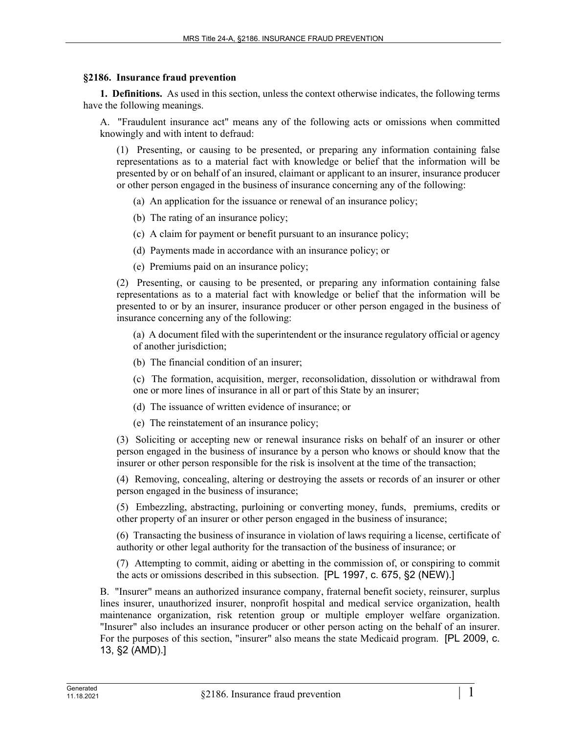## **§2186. Insurance fraud prevention**

**1. Definitions.** As used in this section, unless the context otherwise indicates, the following terms have the following meanings.

A. "Fraudulent insurance act" means any of the following acts or omissions when committed knowingly and with intent to defraud:

(1) Presenting, or causing to be presented, or preparing any information containing false representations as to a material fact with knowledge or belief that the information will be presented by or on behalf of an insured, claimant or applicant to an insurer, insurance producer or other person engaged in the business of insurance concerning any of the following:

(a) An application for the issuance or renewal of an insurance policy;

(b) The rating of an insurance policy;

(c) A claim for payment or benefit pursuant to an insurance policy;

(d) Payments made in accordance with an insurance policy; or

(e) Premiums paid on an insurance policy;

(2) Presenting, or causing to be presented, or preparing any information containing false representations as to a material fact with knowledge or belief that the information will be presented to or by an insurer, insurance producer or other person engaged in the business of insurance concerning any of the following:

(a) A document filed with the superintendent or the insurance regulatory official or agency of another jurisdiction;

(b) The financial condition of an insurer;

(c) The formation, acquisition, merger, reconsolidation, dissolution or withdrawal from one or more lines of insurance in all or part of this State by an insurer;

(d) The issuance of written evidence of insurance; or

(e) The reinstatement of an insurance policy;

(3) Soliciting or accepting new or renewal insurance risks on behalf of an insurer or other person engaged in the business of insurance by a person who knows or should know that the insurer or other person responsible for the risk is insolvent at the time of the transaction;

(4) Removing, concealing, altering or destroying the assets or records of an insurer or other person engaged in the business of insurance;

(5) Embezzling, abstracting, purloining or converting money, funds, premiums, credits or other property of an insurer or other person engaged in the business of insurance;

(6) Transacting the business of insurance in violation of laws requiring a license, certificate of authority or other legal authority for the transaction of the business of insurance; or

(7) Attempting to commit, aiding or abetting in the commission of, or conspiring to commit the acts or omissions described in this subsection. [PL 1997, c. 675, §2 (NEW).]

B. "Insurer" means an authorized insurance company, fraternal benefit society, reinsurer, surplus lines insurer, unauthorized insurer, nonprofit hospital and medical service organization, health maintenance organization, risk retention group or multiple employer welfare organization. "Insurer" also includes an insurance producer or other person acting on the behalf of an insurer. For the purposes of this section, "insurer" also means the state Medicaid program. [PL 2009, c. 13, §2 (AMD).]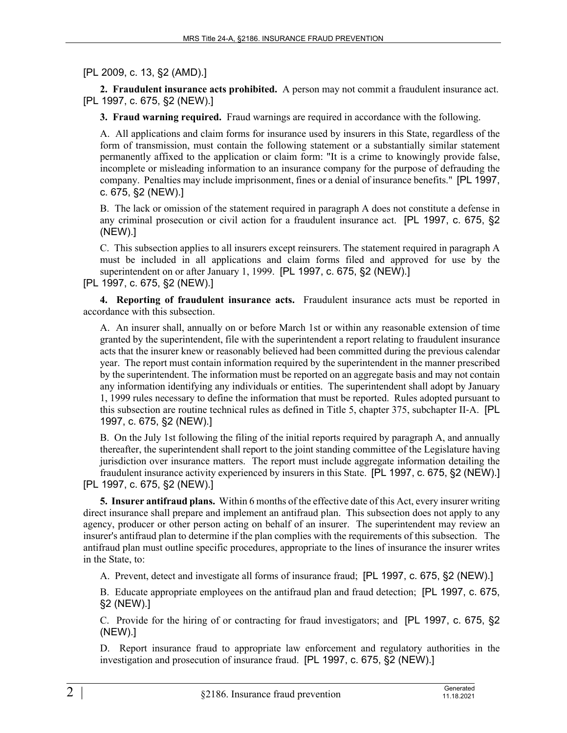[PL 2009, c. 13, §2 (AMD).]

**2. Fraudulent insurance acts prohibited.** A person may not commit a fraudulent insurance act. [PL 1997, c. 675, §2 (NEW).]

**3. Fraud warning required.** Fraud warnings are required in accordance with the following.

A. All applications and claim forms for insurance used by insurers in this State, regardless of the form of transmission, must contain the following statement or a substantially similar statement permanently affixed to the application or claim form: "It is a crime to knowingly provide false, incomplete or misleading information to an insurance company for the purpose of defrauding the company. Penalties may include imprisonment, fines or a denial of insurance benefits." [PL 1997, c. 675, §2 (NEW).]

B. The lack or omission of the statement required in paragraph A does not constitute a defense in any criminal prosecution or civil action for a fraudulent insurance act. [PL 1997, c. 675, §2 (NEW).]

C. This subsection applies to all insurers except reinsurers. The statement required in paragraph A must be included in all applications and claim forms filed and approved for use by the superintendent on or after January 1, 1999. [PL 1997, c. 675, §2 (NEW).] [PL 1997, c. 675, §2 (NEW).]

**4. Reporting of fraudulent insurance acts.** Fraudulent insurance acts must be reported in accordance with this subsection.

A. An insurer shall, annually on or before March 1st or within any reasonable extension of time granted by the superintendent, file with the superintendent a report relating to fraudulent insurance acts that the insurer knew or reasonably believed had been committed during the previous calendar year. The report must contain information required by the superintendent in the manner prescribed by the superintendent. The information must be reported on an aggregate basis and may not contain any information identifying any individuals or entities. The superintendent shall adopt by January 1, 1999 rules necessary to define the information that must be reported. Rules adopted pursuant to this subsection are routine technical rules as defined in Title 5, chapter 375, subchapter II‑A. [PL 1997, c. 675, §2 (NEW).]

B. On the July 1st following the filing of the initial reports required by paragraph A, and annually thereafter, the superintendent shall report to the joint standing committee of the Legislature having jurisdiction over insurance matters. The report must include aggregate information detailing the fraudulent insurance activity experienced by insurers in this State. [PL 1997, c. 675, §2 (NEW).] [PL 1997, c. 675, §2 (NEW).]

**5. Insurer antifraud plans.** Within 6 months of the effective date of this Act, every insurer writing direct insurance shall prepare and implement an antifraud plan. This subsection does not apply to any agency, producer or other person acting on behalf of an insurer. The superintendent may review an insurer's antifraud plan to determine if the plan complies with the requirements of this subsection. The antifraud plan must outline specific procedures, appropriate to the lines of insurance the insurer writes in the State, to:

A. Prevent, detect and investigate all forms of insurance fraud; [PL 1997, c. 675, §2 (NEW).]

B. Educate appropriate employees on the antifraud plan and fraud detection; [PL 1997, c. 675, §2 (NEW).]

C. Provide for the hiring of or contracting for fraud investigators; and [PL 1997, c. 675, §2 (NEW).]

D. Report insurance fraud to appropriate law enforcement and regulatory authorities in the investigation and prosecution of insurance fraud. [PL 1997, c. 675, §2 (NEW).]